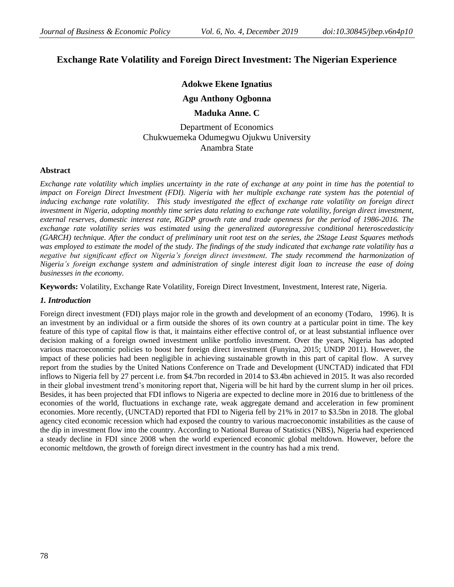# **Exchange Rate Volatility and Foreign Direct Investment: The Nigerian Experience**

## **Adokwe Ekene Ignatius**

## **Agu Anthony Ogbonna**

## **Maduka Anne. C**

Department of Economics Chukwuemeka Odumegwu Ojukwu University Anambra State

#### **Abstract**

*Exchange rate volatility which implies uncertainty in the rate of exchange at any point in time has the potential to impact on Foreign Direct Investment (FDI). Nigeria with her multiple exchange rate system has the potential of inducing exchange rate volatility. This study investigated the effect of exchange rate volatility on foreign direct investment in Nigeria, adopting monthly time series data relating to exchange rate volatility, foreign direct investment, external reserves, domestic interest rate, RGDP growth rate and trade openness for the period of 1986-2016. The exchange rate volatility series was estimated using the generalized autoregressive conditional heteroscedasticity (GARCH) technique. After the conduct of preliminary unit root test on the series, the 2Stage Least Squares methods was employed to estimate the model of the study. The findings of the study indicated that exchange rate volatility has a negative but significant effect on Nigeria's foreign direct investment. The study recommend the harmonization of Nigeria's foreign exchange system and administration of single interest digit loan to increase the ease of doing businesses in the economy.*

**Keywords:** Volatility, Exchange Rate Volatility, Foreign Direct Investment, Investment, Interest rate, Nigeria.

## *1. Introduction*

Foreign direct investment (FDI) plays major role in the growth and development of an economy (Todaro, 1996). It is an investment by an individual or a firm outside the shores of its own country at a particular point in time. The key feature of this type of capital flow is that, it maintains either effective control of, or at least substantial influence over decision making of a foreign owned investment unlike portfolio investment. Over the years, Nigeria has adopted various macroeconomic policies to boost her foreign direct investment (Funyina, 2015; UNDP 2011). However, the impact of these policies had been negligible in achieving sustainable growth in this part of capital flow. A survey report from the studies by the United Nations Conference on Trade and Development (UNCTAD) indicated that FDI inflows to Nigeria fell by 27 percent i.e. from \$4.7bn recorded in 2014 to \$3.4bn achieved in 2015. It was also recorded in their global investment trend's monitoring report that, Nigeria will be hit hard by the current slump in her oil prices. Besides, it has been projected that FDI inflows to Nigeria are expected to decline more in 2016 due to brittleness of the economies of the world, fluctuations in exchange rate, weak aggregate demand and acceleration in few prominent economies. More recently, (UNCTAD) reported that FDI to Nigeria fell by 21% in 2017 to \$3.5bn in 2018. The global agency cited economic recession which had exposed the country to various macroeconomic instabilities as the cause of the dip in investment flow into the country. According to National Bureau of Statistics (NBS), Nigeria had experienced a steady decline in FDI since 2008 when the world experienced economic global meltdown. However, before the economic meltdown, the growth of foreign direct investment in the country has had a mix trend.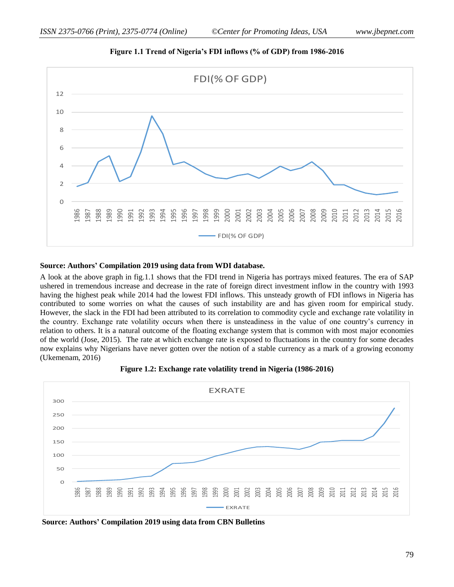

**Figure 1.1 Trend of Nigeria's FDI inflows (% of GDP) from 1986-2016**

#### **Source: Authors' Compilation 2019 using data from WDI database.**

A look at the above graph in fig.1.1 shows that the FDI trend in Nigeria has portrays mixed features. The era of SAP ushered in tremendous increase and decrease in the rate of foreign direct investment inflow in the country with 1993 having the highest peak while 2014 had the lowest FDI inflows. This unsteady growth of FDI inflows in Nigeria has contributed to some worries on what the causes of such instability are and has given room for empirical study. However, the slack in the FDI had been attributed to its correlation to commodity cycle and exchange rate volatility in the country. Exchange rate volatility occurs when there is unsteadiness in the value of one country's currency in relation to others. It is a natural outcome of the floating exchange system that is common with most major economies of the world (Jose, 2015). The rate at which exchange rate is exposed to fluctuations in the country for some decades now explains why Nigerians have never gotten over the notion of a stable currency as a mark of a growing economy (Ukemenam, 2016)



**Figure 1.2: Exchange rate volatility trend in Nigeria (1986-2016)**

**Source: Authors' Compilation 2019 using data from CBN Bulletins**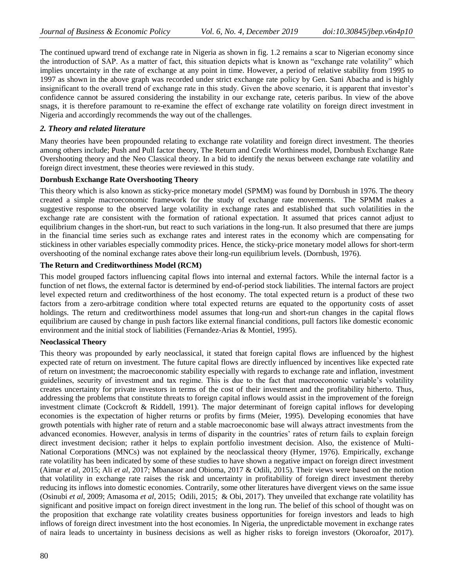The continued upward trend of exchange rate in Nigeria as shown in fig. 1.2 remains a scar to Nigerian economy since the introduction of SAP. As a matter of fact, this situation depicts what is known as "exchange rate volatility" which implies uncertainty in the rate of exchange at any point in time. However, a period of relative stability from 1995 to 1997 as shown in the above graph was recorded under strict exchange rate policy by Gen. Sani Abacha and is highly insignificant to the overall trend of exchange rate in this study. Given the above scenario, it is apparent that investor's confidence cannot be assured considering the instability in our exchange rate, ceteris paribus. In view of the above snags, it is therefore paramount to re-examine the effect of exchange rate volatility on foreign direct investment in Nigeria and accordingly recommends the way out of the challenges.

## *2. Theory and related literature*

Many theories have been propounded relating to exchange rate volatility and foreign direct investment. The theories among others include; Push and Pull factor theory, The Return and Credit Worthiness model, Dornbush Exchange Rate Overshooting theory and the Neo Classical theory. In a bid to identify the nexus between exchange rate volatility and foreign direct investment, these theories were reviewed in this study.

## **Dornbush Exchange Rate Overshooting Theory**

This theory which is also known as sticky-price monetary model (SPMM) was found by Dornbush in 1976. The theory created a simple macroeconomic framework for the study of exchange rate movements. The SPMM makes a suggestive response to the observed large volatility in exchange rates and established that such volatilities in the exchange rate are consistent with the formation of rational expectation. It assumed that prices cannot adjust to equilibrium changes in the short-run, but react to such variations in the long-run. It also presumed that there are jumps in the financial time series such as exchange rates and interest rates in the economy which are compensating for stickiness in other variables especially commodity prices. Hence, the sticky-price monetary model allows for short-term overshooting of the nominal exchange rates above their long-run equilibrium levels. (Dornbush, 1976).

## **The Return and Creditworthiness Model (RCM)**

This model grouped factors influencing capital flows into internal and external factors. While the internal factor is a function of net flows, the external factor is determined by end-of-period stock liabilities. The internal factors are project level expected return and creditworthiness of the host economy. The total expected return is a product of these two factors from a zero-arbitrage condition where total expected returns are equated to the opportunity costs of asset holdings. The return and creditworthiness model assumes that long-run and short-run changes in the capital flows equilibrium are caused by change in push factors like external financial conditions, pull factors like domestic economic environment and the initial stock of liabilities (Fernandez-Arias & Montiel, 1995).

#### **Neoclassical Theory**

This theory was propounded by early neoclassical, it stated that foreign capital flows are influenced by the highest expected rate of return on investment. The future capital flows are directly influenced by incentives like expected rate of return on investment; the macroeconomic stability especially with regards to exchange rate and inflation, investment guidelines, security of investment and tax regime. This is due to the fact that macroeconomic variable's volatility creates uncertainty for private investors in terms of the cost of their investment and the profitability hitherto. Thus, addressing the problems that constitute threats to foreign capital inflows would assist in the improvement of the foreign investment climate (Cockcroft & Riddell, 1991). The major determinant of foreign capital inflows for developing economies is the expectation of higher returns or profits by firms (Meier, 1995). Developing economies that have growth potentials with higher rate of return and a stable macroeconomic base will always attract investments from the advanced economies. However, analysis in terms of disparity in the countries' rates of return fails to explain foreign direct investment decision; rather it helps to explain portfolio investment decision. Also, the existence of Multi-National Corporations (MNCs) was not explained by the neoclassical theory (Hymer, 1976). Empirically, exchange rate volatility has been indicated by some of these studies to have shown a negative impact on foreign direct investment (Aimar *et al*, 2015; Ali *et al*, 2017; Mbanasor and Obioma, 2017 & Odili, 2015). Their views were based on the notion that volatility in exchange rate raises the risk and uncertainty in profitability of foreign direct investment thereby reducing its inflows into domestic economies. Contrarily, some other literatures have divergent views on the same issue (Osinubi *et al*, 2009; Amasoma *et al*, 2015; Odili, 2015; & Obi, 2017). They unveiled that exchange rate volatility has significant and positive impact on foreign direct investment in the long run. The belief of this school of thought was on the proposition that exchange rate volatility creates business opportunities for foreign investors and leads to high inflows of foreign direct investment into the host economies. In Nigeria, the unpredictable movement in exchange rates of naira leads to uncertainty in business decisions as well as higher risks to foreign investors (Okoroafor, 2017).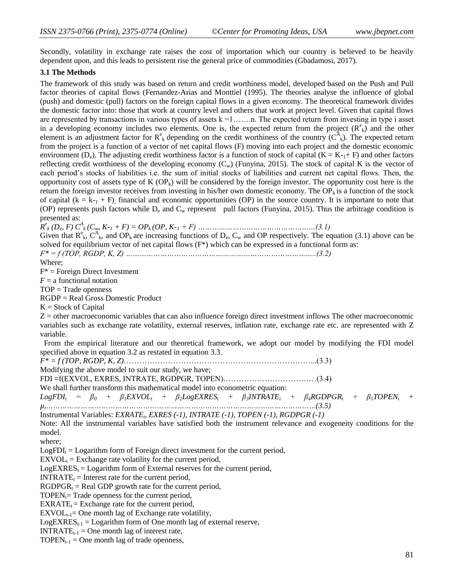Secondly, volatility in exchange rate raises the cost of importation which our country is believed to be heavily dependent upon, and this leads to persistent rise the general price of commodities (Gbadamosi, 2017).

#### **3.1 The Methods**

The framework of this study was based on return and credit worthiness model, developed based on the Push and Pull factor theories of capital flows (Fernandez-Arias and Monttiel (1995). The theories analyse the influence of global (push) and domestic (pull) factors on the foreign capital flows in a given economy. The theoretical framework divides the domestic factor into: those that work at country level and others that work at project level. Given that capital flows are represented by transactions in various types of assets  $k = 1, \ldots, n$ . The expected return from investing in type i asset in a developing economy includes two elements. One is, the expected return from the project  $(R^e)_k$  and the other element is an adjustment factor for  $R^e_k$  depending on the credit worthiness of the country  $(C^A_k)$ . The expected return from the project is a function of a vector of net capital flows (F) moving into each project and the domestic economic environment (D<sub>e</sub>). The adjusting credit worthiness factor is a function of stock of capital (K = K-<sub>1</sub>+ F) and other factors reflecting credit worthiness of the developing economy  $(C_w)$  (Funyina, 2015). The stock of capital K is the vector of each period's stocks of liabilities i.e. the sum of initial stocks of liabilities and current net capital flows. Then, the opportunity cost of assets type of K  $(OP_k)$  will be considered by the foreign investor. The opportunity cost here is the return the foreign investor receives from investing in his/her own domestic economy. The  $OP_k$  is a function of the stock of capital  $(k = k_{-1} + F)$ , financial and economic opportunities (OP) in the source country. It is important to note that (OP) represents push factors while  $D_e$  and  $C_w$  represent pull factors (Funyina, 2015). Thus the arbitrage condition is presented as:

 $R^e$ <sub>*k*</sub>  $(D_e, F)$   $C^A$ <sub>*k*</sub> $(C_w, K_{-1} + F) = OP$ <sub>*k*</sub> $(OP, K_{-1} + F)$  ………………………………………………(3.1)

Given that  $R_{k}^{e}$ ,  $C_{k}^{A}$ , and  $OP_{k}$  are increasing functions of  $D_{e}$ ,  $C_{w}$  and OP respectively. The equation (3.1) above can be solved for equilibrium vector of net capital flows (F\*) which can be expressed in a functional form as:

*F\* = f (TOP, RGDP, K, Z) ………………………………………………………………………..(3.2)*

Where;

 $F^*$  = Foreign Direct Investment

 $F = a$  functional notation

TOP = Trade openness

RGDP = Real Gross Domestic Product

 $K =$  Stock of Capital

 $Z =$  other macroeconomic variables that can also influence foreign direct investment inflows The other macroeconomic variables such as exchange rate volatility, external reserves, inflation rate, exchange rate etc. are represented with Z variable.

 From the empirical literature and our theoretical framework, we adopt our model by modifying the FDI model specified above in equation 3.2 as restated in equation 3.3.

*F\* = f (TOP, RGDP, K, Z)*………………………………………………………………...(3.3)

Modifying the above model to suit our study, we have;

FDI =f(EXVOL, EXRES, INTRATE, RGDPGR, TOPEN)………………………………(3.4)

We shall further transform this mathematical model into econometric equation:  $LogFDI_t = \beta_0 + \beta_1 EXVOL_t + \beta_2 LogEXRES_t + \beta_3 INTRATE_t + \beta_4 RGBPPGR_t + \beta_5 TOPEN_t +$ *µt………………………………………………………………………………………………………(3.5)*

Instrumental Variables: *EXRATE<sub>t</sub>*, *EXRES* (-1), *INTRATE* (-1), *TOPEN* (-1), *RGDPGR* (-1)

Note: All the instrumental variables have satisfied both the instrument relevance and exogeneity conditions for the model.

where;

 $LogFDI_t = Logarithm$  form of Foreign direct investment for the current period,

 $EXVOL<sub>t</sub> = Exchange rate volatility for the current period,$ 

 $LogEXRES_t = Logarithm$  form of External reserves for the current period,

 $INTRATE_t = Interest rate for the current period,$ 

 $RGDPGR_t = Real GDP$  growth rate for the current period,

TOPEN<sub>t</sub>= Trade openness for the current period,

 $EXRATE_t = Exchange$  rate for the current period,

 $EXVOL_{t-1}=$  One month lag of Exchange rate volatility,

 $LogEXRES_{t-1} = Logarithm$  form of One month lag of external reserve,

 $INTERATE_{t-1} = One month lag of interest rate,$ 

TOPEN<sub>t-1</sub> = One month lag of trade openness,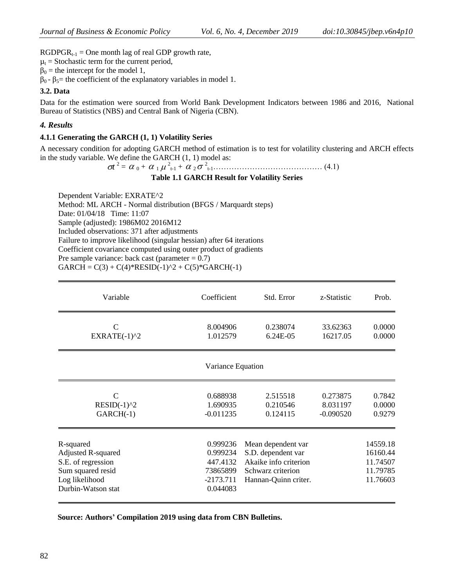$RGDPGR_{t-1} = One$  month lag of real GDP growth rate,

 $\mu_t$  = Stochastic term for the current period,

 $\beta_0$  = the intercept for the model 1,

 $\beta_0$  -  $\beta_5$  = the coefficient of the explanatory variables in model 1.

## **3.2. Data**

Data for the estimation were sourced from World Bank Development Indicators between 1986 and 2016, National Bureau of Statistics (NBS) and Central Bank of Nigeria (CBN).

## *4. Results*

#### **4.1.1 Generating the GARCH (1, 1) Volatility Series**

A necessary condition for adopting GARCH method of estimation is to test for volatility clustering and ARCH effects in the study variable. We define the GARCH (1, 1) model as:

 $\sigma t^2 = \alpha_0 + \alpha_1 \mu_{t-1}^2 + \alpha_2 \sigma_{t-1}^2$  (4.1)

## **Table 1.1 GARCH Result for Volatility Series**

Dependent Variable: EXRATE^2 Method: ML ARCH - Normal distribution (BFGS / Marquardt steps) Date: 01/04/18 Time: 11:07 Sample (adjusted): 1986M02 2016M12 Included observations: 371 after adjustments Failure to improve likelihood (singular hessian) after 64 iterations Coefficient covariance computed using outer product of gradients Pre sample variance: back cast (parameter  $= 0.7$ )

 $GARCH = C(3) + C(4)*RESID(-1)^2 + C(5)*GARCH(-1)$ 

| Variable                  | Coefficient       | Std. Error            | z-Statistic | Prob.    |
|---------------------------|-------------------|-----------------------|-------------|----------|
| $\mathcal{C}$             | 8.004906          | 0.238074              | 33.62363    | 0.0000   |
| $EXRATE(-1)^2$            | 1.012579          | 6.24E-05              | 16217.05    | 0.0000   |
|                           | Variance Equation |                       |             |          |
| $\mathcal{C}$             | 0.688938          | 2.515518              | 0.273875    | 0.7842   |
| $RESID(-1)^2$             | 1.690935          | 0.210546              | 8.031197    | 0.0000   |
| $GARCH(-1)$               | $-0.011235$       | 0.124115              | $-0.090520$ | 0.9279   |
| R-squared                 | 0.999236          | Mean dependent var    |             | 14559.18 |
| <b>Adjusted R-squared</b> | 0.999234          | S.D. dependent var    |             | 16160.44 |
| S.E. of regression        | 447.4132          | Akaike info criterion |             | 11.74507 |
| Sum squared resid         | 73865899          | Schwarz criterion     |             | 11.79785 |
| Log likelihood            | $-2173.711$       | Hannan-Quinn criter.  |             | 11.76603 |
| Durbin-Watson stat        | 0.044083          |                       |             |          |

 **Source: Authors' Compilation 2019 using data from CBN Bulletins.**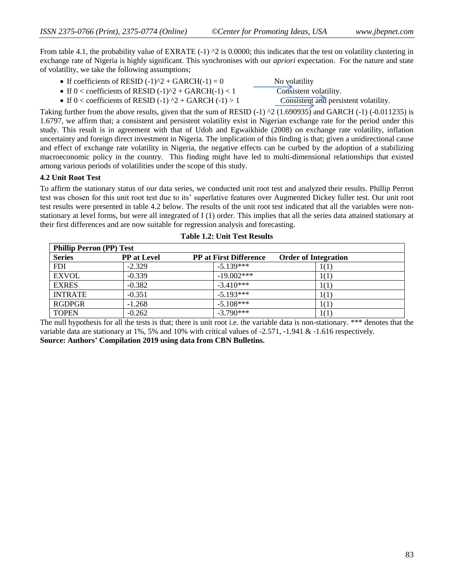From table 4.1, the probability value of EXRATE  $(-1)$   $\gamma$ 2 is 0.0000; this indicates that the test on volatility clustering in exchange rate of Nigeria is highly significant. This synchronises with our *apriori* expectation. For the nature and state of volatility, we take the following assumptions;

- If coefficients of RESID  $(-1)^2 + GARCH(-1) = 0$  No volatility
	- If 0 < coefficients of RESID  $(-1)^2 + GARCH(-1) < 1$  Consistent volatility.
	- If 0 < coefficients of RESID (-1)  $\textdegree$  + GARCH (-1) > 1 Consistent and persistent volatility.

Taking further from the above results, given that the sum of RESID (-1)  $\textdegree$ 2 (1.690935) and GARCH (-1) (-0.011235) is 1.6797, we affirm that; a consistent and persistent volatility exist in Nigerian exchange rate for the period under this study. This result is in agreement with that of Udoh and Egwaikhide (2008) on exchange rate volatility, inflation uncertainty and foreign direct investment in Nigeria. The implication of this finding is that; given a unidirectional cause and effect of exchange rate volatility in Nigeria, the negative effects can be curbed by the adoption of a stabilizing macroeconomic policy in the country. This finding might have led to multi-dimensional relationships that existed among various periods of volatilities under the scope of this study.

## **4.2 Unit Root Test**

To affirm the stationary status of our data series, we conducted unit root test and analyzed their results. Phillip Perron test was chosen for this unit root test due to its' superlative features over Augmented Dickey fuller test. Our unit root test results were presented in table 4.2 below. The results of the unit root test indicated that all the variables were nonstationary at level forms, but were all integrated of I (1) order. This implies that all the series data attained stationary at their first differences and are now suitable for regression analysis and forecasting.

| <b>Phillip Perron (PP) Test</b> |                    |                               |                             |  |
|---------------------------------|--------------------|-------------------------------|-----------------------------|--|
| <b>Series</b>                   | <b>PP</b> at Level | <b>PP</b> at First Difference | <b>Order of Integration</b> |  |
| <b>FDI</b>                      | $-2.329$           | $-5.139***$                   | 1(1)                        |  |
| <b>EXVOL</b>                    | $-0.339$           | $-19.002***$                  | 1(1)                        |  |
| <b>EXRES</b>                    | $-0.382$           | $-3.410***$                   | 1(1)                        |  |
| <b>INTRATE</b>                  | $-0.351$           | $-5.193***$                   | 1(1)                        |  |
| <b>RGDPGR</b>                   | $-1.268$           | $-5.108***$                   | 1(1)                        |  |
| <b>TOPEN</b>                    | $-0.262$           | $-3.790***$                   | 1(1)                        |  |

**Table 1.2: Unit Test Results**

The null hypothesis for all the tests is that; there is unit root i.e. the variable data is non-stationary. \*\*\* denotes that the variable data are stationary at 1%, 5% and 10% with critical values of -2.571, -1.941 & -1.616 respectively. **Source: Authors' Compilation 2019 using data from CBN Bulletins.**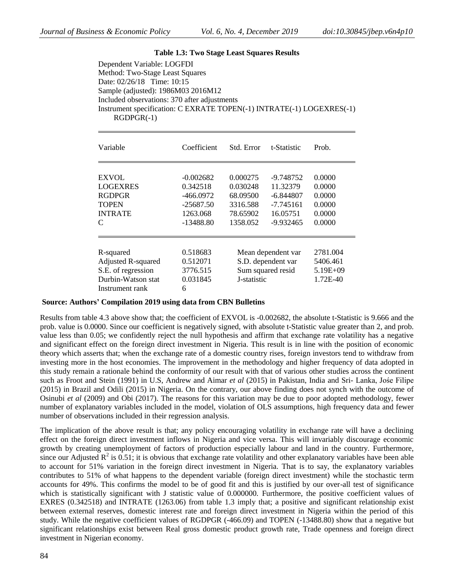#### **Table 1.3: Two Stage Least Squares Results**

Dependent Variable: LOGFDI Method: Two-Stage Least Squares Date: 02/26/18 Time: 10:15 Sample (adjusted): 1986M03 2016M12 Included observations: 370 after adjustments Instrument specification: C EXRATE TOPEN(-1) INTRATE(-1) LOGEXRES(-1) RGDPGR(-1)

| Variable                                                                                 | Coefficient                                           | Std. Error                                                                                 | t-Statistic                                           | Prob.                                |
|------------------------------------------------------------------------------------------|-------------------------------------------------------|--------------------------------------------------------------------------------------------|-------------------------------------------------------|--------------------------------------|
| EXVOL<br>LOGEXRES                                                                        | $-0.002682$<br>0.342518                               | 0.000275<br>0.030248                                                                       | -9.748752<br>11.32379                                 | 0.0000<br>0.0000                     |
| RGDPGR<br>TOPEN<br><b>INTRATE</b><br>C                                                   | $-466.0972$<br>$-25687.50$<br>1263.068<br>$-13488.80$ | 68.09500<br>3316.588<br>78.65902<br>1358.052                                               | $-6.844807$<br>$-7.745161$<br>16.05751<br>$-9.932465$ | 0.0000<br>0.0000<br>0.0000<br>0.0000 |
| R-squared                                                                                | 0.518683                                              |                                                                                            | Mean dependent var                                    | 2781.004                             |
| <b>Adjusted R-squared</b><br>S.E. of regression<br>Durbin-Watson stat<br>Instrument rank | 0.512071<br>3776.515<br>0.031845<br>6                 | S.D. dependent var<br>5406.461<br>Sum squared resid<br>5.19E+09<br>J-statistic<br>1.72E-40 |                                                       |                                      |

#### **Source: Authors' Compilation 2019 using data from CBN Bulletins**

Results from table 4.3 above show that; the coefficient of EXVOL is -0.002682, the absolute t-Statistic is 9.666 and the prob. value is 0.0000. Since our coefficient is negatively signed, with absolute t-Statistic value greater than 2, and prob. value less than 0.05; we confidently reject the null hypothesis and affirm that exchange rate volatility has a negative and significant effect on the foreign direct investment in Nigeria. This result is in line with the position of economic theory which asserts that; when the exchange rate of a domestic country rises, foreign investors tend to withdraw from investing more in the host economies. The improvement in the methodology and higher frequency of data adopted in this study remain a rationale behind the conformity of our result with that of various other studies across the continent such as Froot and Stein (1991) in U.S, Andrew and Aimar *et al* (2015) in Pakistan, India and Sri- Lanka, Jośe Filipe (2015) in Brazil and Odili (2015) in Nigeria. On the contrary, our above finding does not synch with the outcome of Osinubi *et al* (2009) and Obi (2017). The reasons for this variation may be due to poor adopted methodology, fewer number of explanatory variables included in the model, violation of OLS assumptions, high frequency data and fewer number of observations included in their regression analysis.

The implication of the above result is that; any policy encouraging volatility in exchange rate will have a declining effect on the foreign direct investment inflows in Nigeria and vice versa. This will invariably discourage economic growth by creating unemployment of factors of production especially labour and land in the country. Furthermore, since our Adjusted  $\mathbb{R}^2$  is 0.51; it is obvious that exchange rate volatility and other explanatory variables have been able to account for 51% variation in the foreign direct investment in Nigeria. That is to say, the explanatory variables contributes to 51% of what happens to the dependent variable (foreign direct investment) while the stochastic term accounts for 49%. This confirms the model to be of good fit and this is justified by our over-all test of significance which is statistically significant with J statistic value of 0.000000. Furthermore, the positive coefficient values of EXRES (0.342518) and INTRATE (1263.06) from table 1.3 imply that; a positive and significant relationship exist between external reserves, domestic interest rate and foreign direct investment in Nigeria within the period of this study. While the negative coefficient values of RGDPGR (-466.09) and TOPEN (-13488.80) show that a negative but significant relationships exist between Real gross domestic product growth rate, Trade openness and foreign direct investment in Nigerian economy.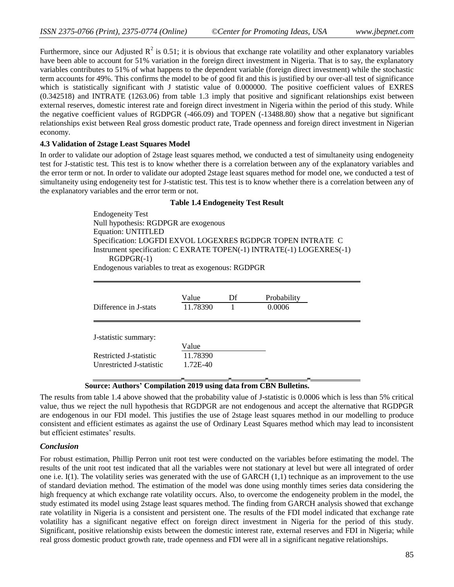Furthermore, since our Adjusted  $R^2$  is 0.51; it is obvious that exchange rate volatility and other explanatory variables have been able to account for 51% variation in the foreign direct investment in Nigeria. That is to say, the explanatory variables contributes to 51% of what happens to the dependent variable (foreign direct investment) while the stochastic term accounts for 49%. This confirms the model to be of good fit and this is justified by our over-all test of significance which is statistically significant with J statistic value of 0.000000. The positive coefficient values of EXRES (0.342518) and INTRATE (1263.06) from table 1.3 imply that positive and significant relationships exist between external reserves, domestic interest rate and foreign direct investment in Nigeria within the period of this study. While the negative coefficient values of RGDPGR (-466.09) and TOPEN (-13488.80) show that a negative but significant relationships exist between Real gross domestic product rate, Trade openness and foreign direct investment in Nigerian economy.

#### **4.3 Validation of 2stage Least Squares Model**

In order to validate our adoption of 2stage least squares method, we conducted a test of simultaneity using endogeneity test for J-statistic test. This test is to know whether there is a correlation between any of the explanatory variables and the error term or not. In order to validate our adopted 2stage least squares method for model one, we conducted a test of simultaneity using endogeneity test for J-statistic test. This test is to know whether there is a correlation between any of the explanatory variables and the error term or not.

#### **Table 1.4 Endogeneity Test Result**

Endogeneity Test Null hypothesis: RGDPGR are exogenous Equation: UNTITLED Specification: LOGFDI EXVOL LOGEXRES RGDPGR TOPEN INTRATE C Instrument specification: C EXRATE TOPEN(-1) INTRATE(-1) LOGEXRES(-1) RGDPGR(-1) Endogenous variables to treat as exogenous: RGDPGR

| Difference in J-stats    | Value<br>11.78390 | Df | Probability<br>0.0006 |  |
|--------------------------|-------------------|----|-----------------------|--|
| J-statistic summary:     |                   |    |                       |  |
| Restricted J-statistic   | Value<br>11.78390 |    |                       |  |
| Unrestricted J-statistic | 1.72E-40          |    |                       |  |
|                          |                   |    |                       |  |

## **Source: Authors' Compilation 2019 using data from CBN Bulletins.**

The results from table 1.4 above showed that the probability value of J-statistic is 0.0006 which is less than 5% critical value, thus we reject the null hypothesis that RGDPGR are not endogenous and accept the alternative that RGDPGR are endogenous in our FDI model. This justifies the use of 2stage least squares method in our modelling to produce consistent and efficient estimates as against the use of Ordinary Least Squares method which may lead to inconsistent but efficient estimates' results.

## *Conclusion*

For robust estimation, Phillip Perron unit root test were conducted on the variables before estimating the model. The results of the unit root test indicated that all the variables were not stationary at level but were all integrated of order one i.e. I(1). The volatility series was generated with the use of GARCH (1,1) technique as an improvement to the use of standard deviation method. The estimation of the model was done using monthly times series data considering the high frequency at which exchange rate volatility occurs. Also, to overcome the endogeneity problem in the model, the study estimated its model using 2stage least squares method. The finding from GARCH analysis showed that exchange rate volatility in Nigeria is a consistent and persistent one. The results of the FDI model indicated that exchange rate volatility has a significant negative effect on foreign direct investment in Nigeria for the period of this study. Significant, positive relationship exists between the domestic interest rate, external reserves and FDI in Nigeria; while real gross domestic product growth rate, trade openness and FDI were all in a significant negative relationships.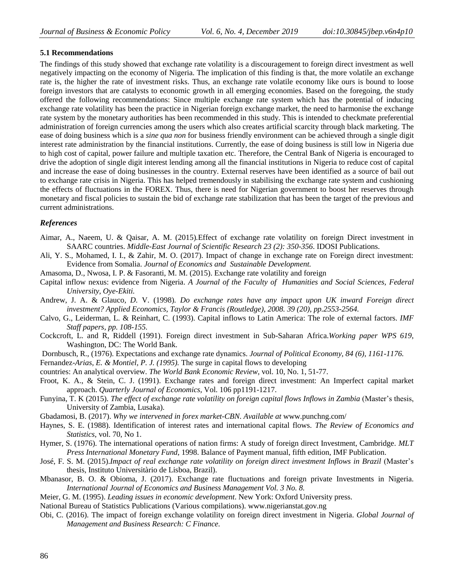#### **5.1 Recommendations**

The findings of this study showed that exchange rate volatility is a discouragement to foreign direct investment as well negatively impacting on the economy of Nigeria. The implication of this finding is that, the more volatile an exchange rate is, the higher the rate of investment risks. Thus, an exchange rate volatile economy like ours is bound to loose foreign investors that are catalysts to economic growth in all emerging economies. Based on the foregoing, the study offered the following recommendations: Since multiple exchange rate system which has the potential of inducing exchange rate volatility has been the practice in Nigerian foreign exchange market, the need to harmonise the exchange rate system by the monetary authorities has been recommended in this study. This is intended to checkmate preferential administration of foreign currencies among the users which also creates artificial scarcity through black marketing. The ease of doing business which is a *sine qua non* for business friendly environment can be achieved through a single digit interest rate administration by the financial institutions. Currently, the ease of doing business is still low in Nigeria due to high cost of capital, power failure and multiple taxation etc. Therefore, the Central Bank of Nigeria is encouraged to drive the adoption of single digit interest lending among all the financial institutions in Nigeria to reduce cost of capital and increase the ease of doing businesses in the country. External reserves have been identified as a source of bail out to exchange rate crisis in Nigeria. This has helped tremendously in stabilising the exchange rate system and cushioning the effects of fluctuations in the FOREX. Thus, there is need for Nigerian government to boost her reserves through monetary and fiscal policies to sustain the bid of exchange rate stabilization that has been the target of the previous and current administrations.

## *References*

- Aimar, A., Naeem, U. & Qaisar, A. M. (2015)*.*Effect of exchange rate volatility on foreign Direct investment in SAARC countries. *Middle-East Journal of Scientific Research 23 (2): 350-356*. IDOSI Publications.
- Ali, Y. S., Mohamed, I. I., & Zahir, M. O. (2017). Impact of change in exchange rate on Foreign direct investment: Evidence from Somalia. *Journal of Economics and Sustainable Development.*
- Amasoma, D., Nwosa, I. P. & Fasoranti, M. M. (2015). Exchange rate volatility and foreign
- Capital inflow nexus: evidence from Nigeria. *A Journal of the Faculty of Humanities and Social Sciences, Federal University, Oye-Ekiti.*
- Andrew, J. A. & Glauco*, D.* V. (1998)*. Do exchange rates have any impact upon UK inward Foreign direct investment? Applied Economics, Taylor & Francis (Routledge), 2008. 39 (20), pp.2553-2564.*
- Calvo, G., Leiderman, L. & Reinhart, C. (1993). Capital inflows to Latin America: The role of external factors. *IMF Staff papers, pp. 108-155.*
- Cockcroft, L. and R, Riddell (1991). Foreign direct investment in Sub-Saharan Africa.*Working paper WPS 619*, Washington, DC: The World Bank.
- Dornbusch, R., (1976). Expectations and exchange rate dynamics. *Journal of Political Economy, 84 (6), 1161-1176.*

Fernandez*-Arias, E. & Montiel, P. J. (1995).* The surge in capital flows to developing

- countries: An analytical overview. *The World Bank Economic Review,* vol. 10, No. 1, 51-77.
- Froot, K. A., & Stein, C. J. (1991). Exchange rates and foreign direct investment: An Imperfect capital market approach. *Quarterly Journal of Economics,* Vol. 106 pp1191-1217.
- Funyina, T. K (2015). *The effect of exchange rate volatility on foreign capital flows Inflows in Zambia* (Master's thesis, University of Zambia, Lusaka).
- Gbadamosi, B. (2017). *Why we intervened in forex market-CBN. Available at* [www.punchng.com/](http://www.punchng.com/)
- Haynes, S. E. (1988). Identification of interest rates and international capital flows. *The Review of Economics and Statistics*, vol. 70, No 1.
- Hymer, S. (1976). The international operations of nation firms: A study of foreign direct Investment, Cambridge. *MLT Press International Monetary Fund*, 1998. Balance of Payment manual, fifth edition, IMF Publication.
- José, F. S. M. (2015).*Impact of real exchange rate volatility on foreign direct investment Inflows in Brazil* (Master's thesis, Instituto Universitàrio de Lisboa, Brazil).
- Mbanasor, B. O. & Obioma, J. (2017). Exchange rate fluctuations and foreign private Investments in Nigeria. *International Journal of Economics and Business Management Vol. 3 No. 8.*
- Meier, G. M. (1995). *Leading issues in economic development*. New York: Oxford University press.
- National Bureau of Statistics Publications (Various compilations). [www.nigerianstat.gov.ng](http://www.nigerianstat.gov.ng/)
- Obi, C. (2016). The impact of foreign exchange volatility on foreign direct investment in Nigeria. *Global Journal of Management and Business Research: C Finance.*